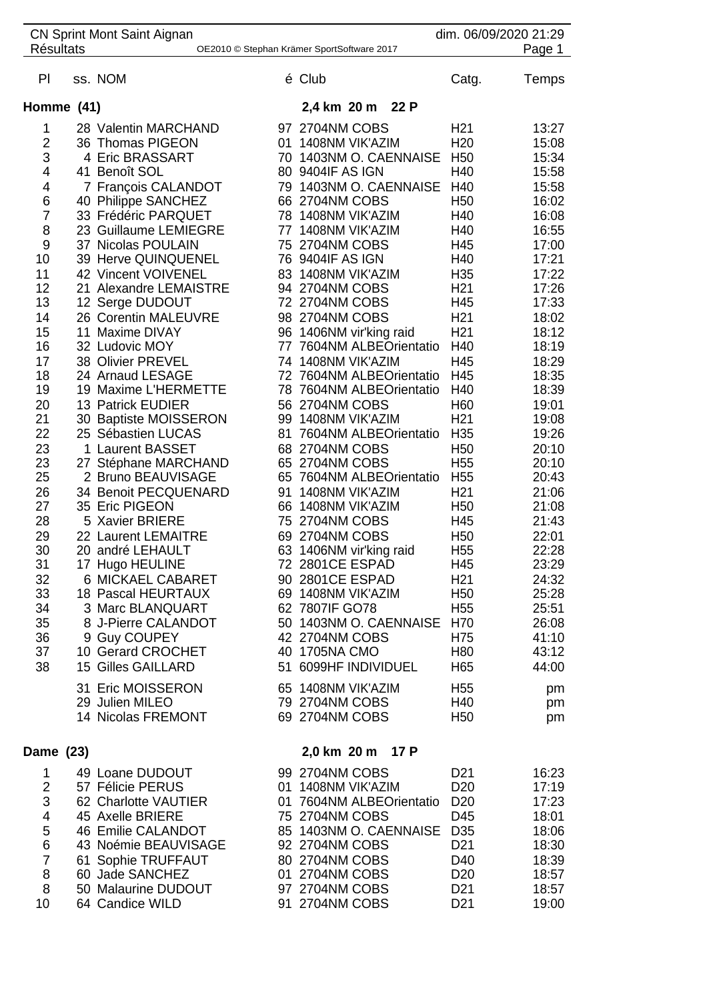| <b>CN Sprint Mont Saint Aignan</b><br><b>Résultats</b><br>OE2010 © Stephan Krämer SportSoftware 2017 |  |                                        |    |                                                |  | dim. 06/09/2020 21:29<br>Page 1 |                |  |
|------------------------------------------------------------------------------------------------------|--|----------------------------------------|----|------------------------------------------------|--|---------------------------------|----------------|--|
| PI                                                                                                   |  | ss. NOM                                |    | é Club                                         |  | Catg.                           | Temps          |  |
| Homme (41)                                                                                           |  |                                        |    | 2,4 km 20 m 22 P                               |  |                                 |                |  |
| 1                                                                                                    |  | 28 Valentin MARCHAND                   |    | 97 2704NM COBS                                 |  | H <sub>21</sub>                 | 13:27          |  |
| $\overline{2}$                                                                                       |  | 36 Thomas PIGEON                       | 01 | 1408NM VIK'AZIM                                |  | H <sub>20</sub>                 | 15:08          |  |
| 3                                                                                                    |  | 4 Eric BRASSART                        | 70 | 1403NM O. CAENNAISE                            |  | H <sub>50</sub>                 | 15:34          |  |
| 4                                                                                                    |  | 41 Benoît SOL                          |    | 80 9404IF AS IGN                               |  | H40                             | 15:58          |  |
| 4                                                                                                    |  | 7 François CALANDOT                    | 79 | 1403NM O. CAENNAISE                            |  | H40                             | 15:58          |  |
| 6                                                                                                    |  | 40 Philippe SANCHEZ                    |    | 66 2704NM COBS                                 |  | H <sub>50</sub>                 | 16:02          |  |
| 7                                                                                                    |  | 33 Frédéric PARQUET                    |    | 78 1408NM VIK'AZIM                             |  | H40                             | 16:08          |  |
| 8                                                                                                    |  | 23 Guillaume LEMIEGRE                  |    | 77 1408NM VIK'AZIM                             |  | H40                             | 16:55          |  |
| 9                                                                                                    |  | 37 Nicolas POULAIN                     |    | 75 2704NM COBS                                 |  | H45                             | 17:00          |  |
| 10                                                                                                   |  | 39 Herve QUINQUENEL                    |    | 76 9404IF AS IGN                               |  | H40                             | 17:21          |  |
| 11                                                                                                   |  | 42 Vincent VOIVENEL                    |    | 83 1408NM VIK'AZIM                             |  | H <sub>35</sub>                 | 17:22          |  |
| 12                                                                                                   |  | 21 Alexandre LEMAISTRE                 |    | 94 2704NM COBS                                 |  | H <sub>21</sub>                 | 17:26          |  |
| 13                                                                                                   |  | 12 Serge DUDOUT                        |    | 72 2704NM COBS                                 |  | H45                             | 17:33          |  |
| 14                                                                                                   |  | 26 Corentin MALEUVRE                   |    | 98 2704NM COBS                                 |  | H <sub>21</sub>                 | 18:02          |  |
| 15                                                                                                   |  | 11 Maxime DIVAY                        |    | 96 1406NM vir'king raid                        |  | H <sub>21</sub>                 | 18:12          |  |
| 16                                                                                                   |  | 32 Ludovic MOY                         |    | 77 7604NM ALBEOrientatio                       |  | H40                             | 18:19          |  |
| 17<br>18                                                                                             |  | 38 Olivier PREVEL<br>24 Arnaud LESAGE  |    | 74 1408NM VIK'AZIM<br>72 7604NM ALBEOrientatio |  | H45<br>H45                      | 18:29<br>18:35 |  |
| 19                                                                                                   |  | 19 Maxime L'HERMETTE                   |    | 78 7604NM ALBEOrientatio                       |  | H40                             | 18:39          |  |
| 20                                                                                                   |  | 13 Patrick EUDIER                      |    | 56 2704NM COBS                                 |  | H <sub>60</sub>                 | 19:01          |  |
| 21                                                                                                   |  | 30 Baptiste MOISSERON                  | 99 | 1408NM VIK'AZIM                                |  | H <sub>21</sub>                 | 19:08          |  |
| 22                                                                                                   |  | 25 Sébastien LUCAS                     | 81 | 7604NM ALBEOrientatio                          |  | H35                             | 19:26          |  |
| 23                                                                                                   |  | 1 Laurent BASSET                       |    | 68 2704NM COBS                                 |  | H <sub>50</sub>                 | 20:10          |  |
| 23                                                                                                   |  | 27 Stéphane MARCHAND                   |    | 65 2704NM COBS                                 |  | H <sub>55</sub>                 | 20:10          |  |
| 25                                                                                                   |  | 2 Bruno BEAUVISAGE                     |    | 65 7604NM ALBEOrientatio                       |  | H <sub>55</sub>                 | 20:43          |  |
| 26                                                                                                   |  | 34 Benoit PECQUENARD                   | 91 | 1408NM VIK'AZIM                                |  | H <sub>21</sub>                 | 21:06          |  |
| 27                                                                                                   |  | 35 Eric PIGEON                         | 66 | 1408NM VIK'AZIM                                |  | H <sub>50</sub>                 | 21:08          |  |
| 28                                                                                                   |  | 5 Xavier BRIERE                        |    | 75 2704NM COBS                                 |  | H45                             | 21:43          |  |
| 29                                                                                                   |  | 22 Laurent LEMAITRE                    |    | 69 2704NM COBS                                 |  | H <sub>50</sub>                 | 22:01          |  |
| 30                                                                                                   |  | 20 andré LEHAULT                       |    | 63 1406NM vir'king raid                        |  | H <sub>55</sub>                 | 22:28          |  |
| 31                                                                                                   |  | 17 Hugo HEULINE                        |    | 72 2801CE ESPAD                                |  | H45                             | 23:29          |  |
| 32                                                                                                   |  | 6 MICKAEL CABARET                      |    | 90 2801CE ESPAD                                |  | H <sub>21</sub>                 | 24:32          |  |
| 33                                                                                                   |  | 18 Pascal HEURTAUX                     |    | 69 1408NM VIK'AZIM                             |  | H <sub>50</sub>                 | 25:28          |  |
| 34                                                                                                   |  | 3 Marc BLANQUART                       |    | 62 7807IF GO78                                 |  | H <sub>55</sub>                 | 25:51          |  |
| 35                                                                                                   |  | 8 J-Pierre CALANDOT                    |    | 50 1403NM O. CAENNAISE                         |  | H70                             | 26:08          |  |
| 36<br>37                                                                                             |  | 9 Guy COUPEY<br>10 Gerard CROCHET      |    | 42 2704NM COBS<br>40 1705NA CMO                |  | H75<br>H80                      | 41:10<br>43:12 |  |
| 38                                                                                                   |  | <b>15 Gilles GAILLARD</b>              |    | 51 6099HF INDIVIDUEL                           |  | H65                             | 44:00          |  |
|                                                                                                      |  |                                        |    |                                                |  |                                 |                |  |
|                                                                                                      |  | 31 Eric MOISSERON                      |    | 65 1408NM VIK'AZIM                             |  | H <sub>55</sub>                 | pm             |  |
|                                                                                                      |  | 29 Julien MILEO                        |    | 79 2704NM COBS                                 |  | H40                             | pm             |  |
|                                                                                                      |  | 14 Nicolas FREMONT                     |    | 69 2704NM COBS                                 |  | H <sub>50</sub>                 | pm             |  |
|                                                                                                      |  |                                        |    | 2,0 km 20 m 17 P                               |  |                                 |                |  |
| Dame (23)                                                                                            |  |                                        |    |                                                |  |                                 |                |  |
| 1                                                                                                    |  | 49 Loane DUDOUT                        |    | 99 2704NM COBS                                 |  | D <sub>21</sub>                 | 16:23          |  |
| $\overline{\mathbf{c}}$                                                                              |  | 57 Félicie PERUS                       |    | 01 1408NM VIK'AZIM                             |  | D <sub>20</sub>                 | 17:19          |  |
| 3                                                                                                    |  | 62 Charlotte VAUTIER                   |    | 01 7604NM ALBEOrientatio                       |  | D <sub>20</sub>                 | 17:23          |  |
| $\overline{\mathbf{4}}$<br>5                                                                         |  | 45 Axelle BRIERE<br>46 Emilie CALANDOT |    | 75 2704NM COBS<br>85 1403NM O. CAENNAISE       |  | D45<br>D <sub>35</sub>          | 18:01<br>18:06 |  |
| $6\phantom{1}6$                                                                                      |  | 43 Noémie BEAUVISAGE                   |    | 92 2704NM COBS                                 |  | D <sub>21</sub>                 | 18:30          |  |
| $\overline{7}$                                                                                       |  | 61 Sophie TRUFFAUT                     |    | 80 2704NM COBS                                 |  | D40                             | 18:39          |  |
| 8                                                                                                    |  | 60 Jade SANCHEZ                        |    | 01 2704NM COBS                                 |  | D <sub>20</sub>                 | 18:57          |  |
| 8                                                                                                    |  | 50 Malaurine DUDOUT                    |    | 97 2704NM COBS                                 |  | D <sub>21</sub>                 | 18:57          |  |
| 10                                                                                                   |  | 64 Candice WILD                        |    | 91 2704NM COBS                                 |  | D <sub>21</sub>                 | 19:00          |  |
|                                                                                                      |  |                                        |    |                                                |  |                                 |                |  |